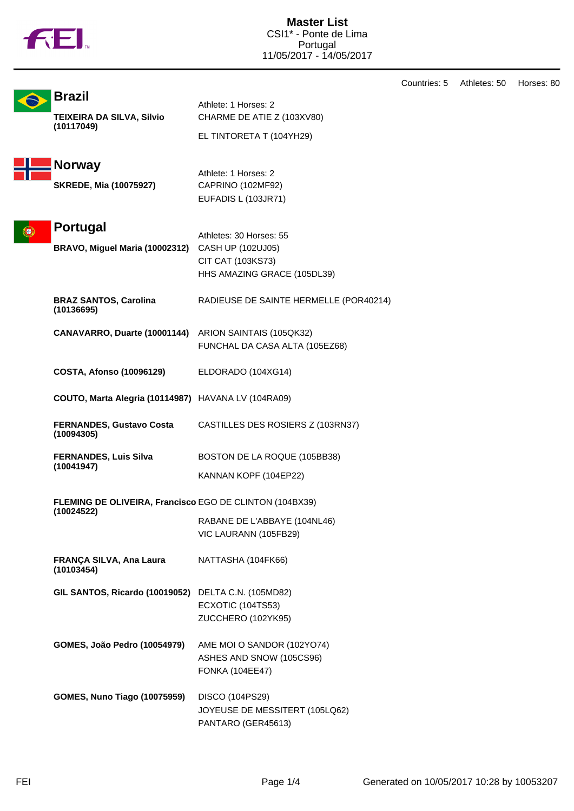

Countries: 5 Athletes: 50 Horses: 80

| <b>Brazil</b><br>TEIXEIRA DA SILVA, Silvio                                   | Athlete: 1 Horses: 2<br>CHARME DE ATIE Z (103XV80)                                               |  |
|------------------------------------------------------------------------------|--------------------------------------------------------------------------------------------------|--|
| (10117049)                                                                   | EL TINTORETA T (104YH29)                                                                         |  |
| <b>Norway</b>                                                                | Athlete: 1 Horses: 2                                                                             |  |
| <b>SKREDE, Mia (10075927)</b>                                                | CAPRINO (102MF92)<br>EUFADIS L (103JR71)                                                         |  |
| Portugal<br>BRAVO, Miguel Maria (10002312)                                   | Athletes: 30 Horses: 55<br>CASH UP (102UJ05)<br>CIT CAT (103KS73)<br>HHS AMAZING GRACE (105DL39) |  |
| <b>BRAZ SANTOS, Carolina</b><br>(10136695)                                   | RADIEUSE DE SAINTE HERMELLE (POR40214)                                                           |  |
| CANAVARRO, Duarte (10001144) ARION SAINTAIS (105QK32)                        | FUNCHAL DA CASA ALTA (105EZ68)                                                                   |  |
| <b>COSTA, Afonso (10096129)</b>                                              | ELDORADO (104XG14)                                                                               |  |
| COUTO, Marta Alegria (10114987) HAVANA LV (104RA09)                          |                                                                                                  |  |
| <b>FERNANDES, Gustavo Costa</b><br>(10094305)                                | CASTILLES DES ROSIERS Z (103RN37)                                                                |  |
| <b>FERNANDES, Luis Silva</b><br>(10041947)                                   | BOSTON DE LA ROQUE (105BB38)<br>KANNAN KOPF (104EP22)                                            |  |
| <b>FLEMING DE OLIVEIRA, Francisco EGO DE CLINTON (104BX39)</b><br>(10024522) | RABANE DE L'ABBAYE (104NL46)<br>VIC LAURANN (105FB29)                                            |  |
| FRANÇA SILVA, Ana Laura<br>(10103454)                                        | NATTASHA (104FK66)                                                                               |  |
| GIL SANTOS, Ricardo (10019052)                                               | DELTA C.N. (105MD82)<br>ECXOTIC (104TS53)<br>ZUCCHERO (102YK95)                                  |  |
| GOMES, João Pedro (10054979)                                                 | AME MOI O SANDOR (102YO74)<br>ASHES AND SNOW (105CS96)<br><b>FONKA (104EE47)</b>                 |  |
| <b>GOMES, Nuno Tiago (10075959)</b>                                          | DISCO (104PS29)<br>JOYEUSE DE MESSITERT (105LQ62)<br>PANTARO (GER45613)                          |  |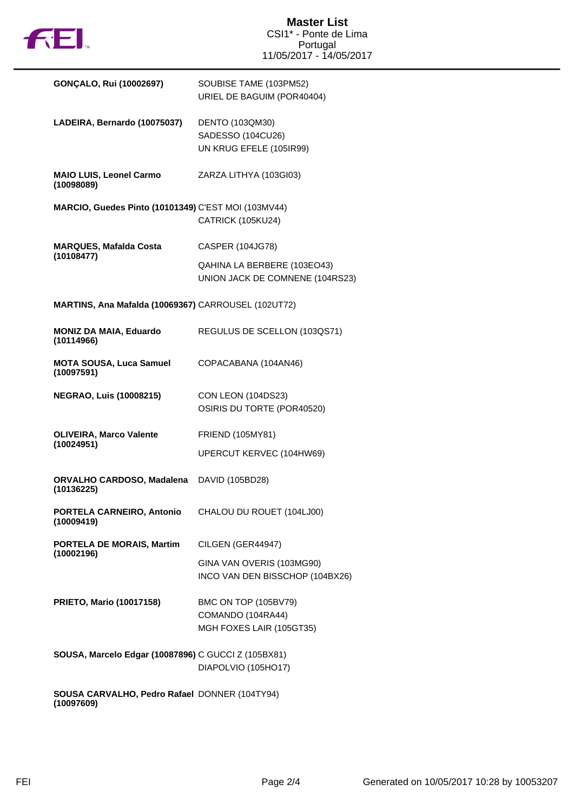

| GONÇALO, Rui (10002697)                                           | SOUBISE TAME (103PM52)<br>URIEL DE BAGUIM (POR40404)                  |
|-------------------------------------------------------------------|-----------------------------------------------------------------------|
| LADEIRA, Bernardo (10075037)                                      | DENTO (103QM30)<br>SADESSO (104CU26)<br>UN KRUG EFELE (105IR99)       |
| <b>MAIO LUIS, Leonel Carmo</b><br>(10098089)                      | ZARZA LITHYA (103GI03)                                                |
| MARCIO, Guedes Pinto (10101349) C'EST MOI (103MV44)               | CATRICK (105KU24)                                                     |
| <b>MARQUES, Mafalda Costa</b>                                     | CASPER (104JG78)                                                      |
| (10108477)                                                        | QAHINA LA BERBERE (103EO43)<br>UNION JACK DE COMNENE (104RS23)        |
| MARTINS, Ana Mafalda (10069367) CARROUSEL (102UT72)               |                                                                       |
| <b>MONIZ DA MAIA, Eduardo</b><br>(10114966)                       | REGULUS DE SCELLON (103QS71)                                          |
| <b>MOTA SOUSA, Luca Samuel</b><br>(10097591)                      | COPACABANA (104AN46)                                                  |
| <b>NEGRAO, Luis (10008215)</b>                                    | <b>CON LEON (104DS23)</b><br>OSIRIS DU TORTE (POR40520)               |
| <b>OLIVEIRA, Marco Valente</b><br>(10024951)                      | <b>FRIEND (105MY81)</b>                                               |
|                                                                   | UPERCUT KERVEC (104HW69)                                              |
| ORVALHO CARDOSO, Madalena DAVID (105BD28)<br>(10136225)           |                                                                       |
| PORTELA CARNEIRO, Antonio CHALOU DU ROUET (104LJ00)<br>(10009419) |                                                                       |
| <b>PORTELA DE MORAIS, Martim</b><br>(10002196)                    | CILGEN (GER44947)                                                     |
|                                                                   | GINA VAN OVERIS (103MG90)<br>INCO VAN DEN BISSCHOP (104BX26)          |
| <b>PRIETO, Mario (10017158)</b>                                   | BMC ON TOP (105BV79)<br>COMANDO (104RA44)<br>MGH FOXES LAIR (105GT35) |
| SOUSA, Marcelo Edgar (10087896) C GUCCI Z (105BX81)               | DIAPOLVIO (105HO17)                                                   |
| SOUSA CARVALHO, Pedro Rafael DONNER (104TY94)<br>(10097609)       |                                                                       |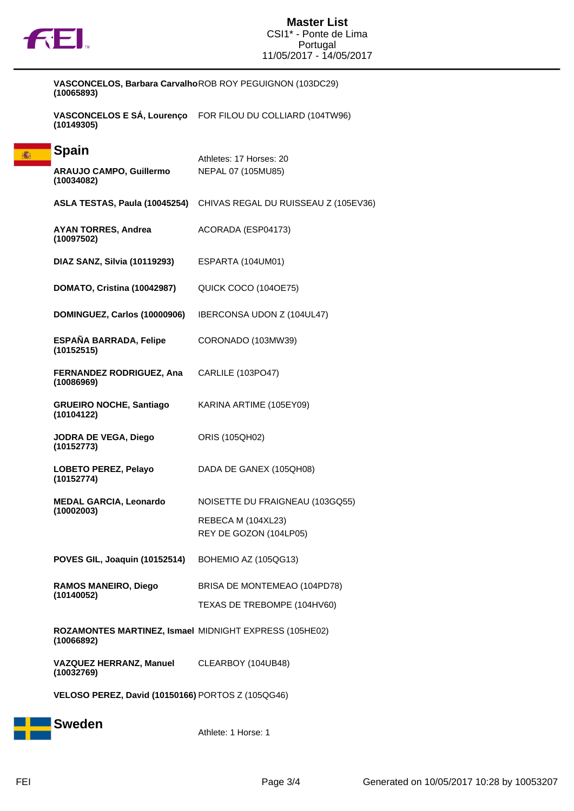

赛

**VASCONCELOS, Barbara Carvalho** ROB ROY PEGUIGNON (103DC29) **(10065893)**

**VASCONCELOS E SÁ, Lourenço** FOR FILOU DU COLLIARD (104TW96) **(10149305)**

| <b>Spain</b>                                                         | Athletes: 17 Horses: 20                      |  |  |  |
|----------------------------------------------------------------------|----------------------------------------------|--|--|--|
| <b>ARAUJO CAMPO, Guillermo</b><br>(10034082)                         | NEPAL 07 (105MU85)                           |  |  |  |
| ASLA TESTAS, Paula (10045254)                                        | CHIVAS REGAL DU RUISSEAU Z (105EV36)         |  |  |  |
| <b>AYAN TORRES, Andrea</b><br>(10097502)                             | ACORADA (ESP04173)                           |  |  |  |
| DIAZ SANZ, Silvia (10119293)                                         | ESPARTA (104UM01)                            |  |  |  |
| DOMATO, Cristina (10042987)                                          | QUICK COCO (104OE75)                         |  |  |  |
| DOMINGUEZ, Carlos (10000906)                                         | IBERCONSA UDON Z (104UL47)                   |  |  |  |
| <b>ESPAÑA BARRADA, Felipe</b><br>(10152515)                          | CORONADO (103MW39)                           |  |  |  |
| <b>FERNANDEZ RODRIGUEZ, Ana</b><br>(10086969)                        | CARLILE (103PO47)                            |  |  |  |
| <b>GRUEIRO NOCHE, Santiago</b><br>(10104122)                         | KARINA ARTIME (105EY09)                      |  |  |  |
| JODRA DE VEGA, Diego<br>(10152773)                                   | ORIS (105QH02)                               |  |  |  |
| LOBETO PEREZ, Pelayo<br>(10152774)                                   | DADA DE GANEX (105QH08)                      |  |  |  |
| <b>MEDAL GARCIA, Leonardo</b><br>(10002003)                          | NOISETTE DU FRAIGNEAU (103GQ55)              |  |  |  |
|                                                                      | REBECA M (104XL23)<br>REY DE GOZON (104LP05) |  |  |  |
| POVES GIL, Joaquin (10152514)                                        | BOHEMIO AZ (105QG13)                         |  |  |  |
| <b>RAMOS MANEIRO, Diego</b><br>(10140052)                            | BRISA DE MONTEMEAO (104PD78)                 |  |  |  |
|                                                                      | TEXAS DE TREBOMPE (104HV60)                  |  |  |  |
| ROZAMONTES MARTINEZ, Ismael MIDNIGHT EXPRESS (105HE02)<br>(10066892) |                                              |  |  |  |
| VAZQUEZ HERRANZ, Manuel CLEARBOY (104UB48)<br>(10032769)             |                                              |  |  |  |
| VELOSO PEREZ, David (10150166) PORTOS Z (105QG46)                    |                                              |  |  |  |



Athlete: 1 Horse: 1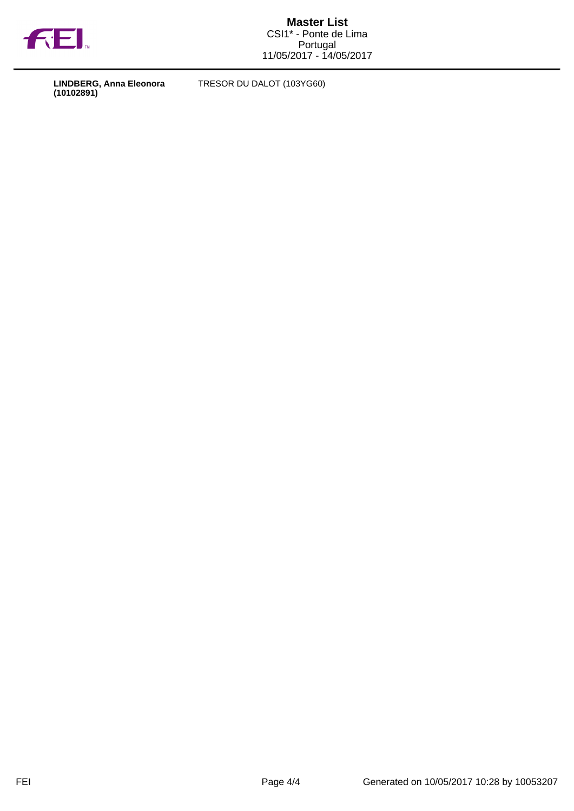

**LINDBERG, Anna Eleonora (10102891)**

TRESOR DU DALOT (103YG60)